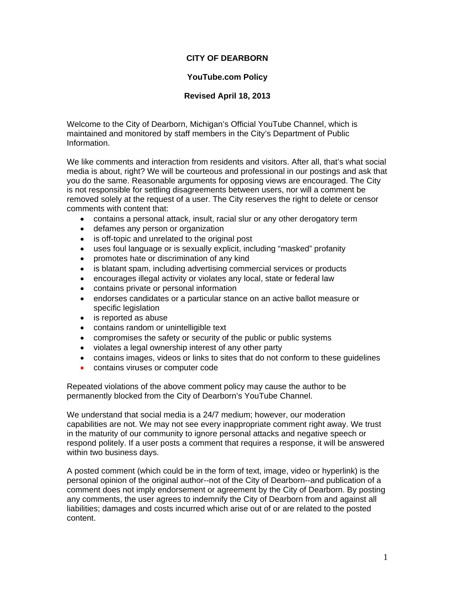## **CITY OF DEARBORN**

## **YouTube.com Policy**

## **Revised April 18, 2013**

Welcome to the City of Dearborn, Michigan's Official YouTube Channel, which is maintained and monitored by staff members in the City's Department of Public Information.

We like comments and interaction from residents and visitors. After all, that's what social media is about, right? We will be courteous and professional in our postings and ask that you do the same. Reasonable arguments for opposing views are encouraged. The City is not responsible for settling disagreements between users, nor will a comment be removed solely at the request of a user. The City reserves the right to delete or censor comments with content that:

- contains a personal attack, insult, racial slur or any other derogatory term
- defames any person or organization
- is off-topic and unrelated to the original post
- uses foul language or is sexually explicit, including "masked" profanity
- promotes hate or discrimination of any kind
- is blatant spam, including advertising commercial services or products
- encourages illegal activity or violates any local, state or federal law
- contains private or personal information
- endorses candidates or a particular stance on an active ballot measure or specific legislation
- is reported as abuse
- contains random or unintelligible text
- compromises the safety or security of the public or public systems
- violates a legal ownership interest of any other party
- contains images, videos or links to sites that do not conform to these guidelines
- contains viruses or computer code

Repeated violations of the above comment policy may cause the author to be permanently blocked from the City of Dearborn's YouTube Channel.

We understand that social media is a 24/7 medium; however, our moderation capabilities are not. We may not see every inappropriate comment right away. We trust in the maturity of our community to ignore personal attacks and negative speech or respond politely. If a user posts a comment that requires a response, it will be answered within two business days.

A posted comment (which could be in the form of text, image, video or hyperlink) is the personal opinion of the original author--not of the City of Dearborn--and publication of a comment does not imply endorsement or agreement by the City of Dearborn. By posting any comments, the user agrees to indemnify the City of Dearborn from and against all liabilities; damages and costs incurred which arise out of or are related to the posted content.